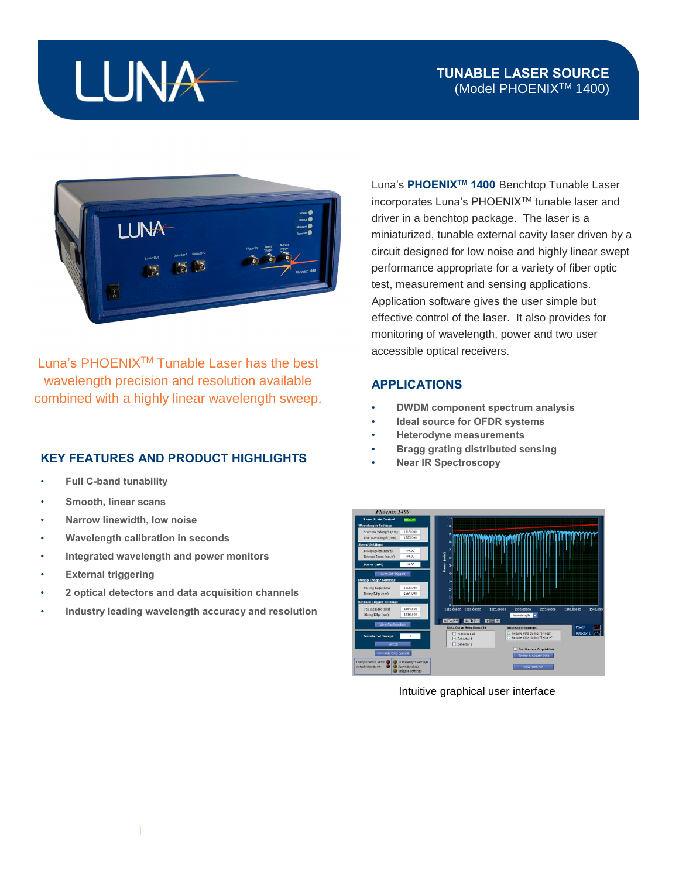## LUNA

## **TUNABLE LASER SOURCE** (Model PHOENIXTM 1400)



Luna's PHOENIXTM Tunable Laser has the best wavelength precision and resolution available combined with a highly linear wavelength sweep.

## **KEY FEATURES AND PRODUCT HIGHLIGHTS**

- **Full C-band tunability**
- **Smooth, linear scans**
- **Narrow linewidth, low noise**
- **Wavelength calibration in seconds**
- **Integrated wavelength and power monitors**
- **External triggering**
- **2 optical detectors and data acquisition channels**
- **Industry leading wavelength accuracy and resolution**

Luna's **PHOENIXTM 1400** Benchtop Tunable Laser incorporates Luna's PHOENIXTM tunable laser and driver in a benchtop package. The laser is a miniaturized, tunable external cavity laser driven by a circuit designed for low noise and highly linear swept performance appropriate for a variety of fiber optic test, measurement and sensing applications. Application software gives the user simple but effective control of the laser. It also provides for monitoring of wavelength, power and two user accessible optical receivers.

## **APPLICATIONS**

- **DWDM component spectrum analysis**
- **Ideal source for OFDR systems**
- **Heterodyne measurements**
- **Bragg grating distributed sensing**
- **Near IR Spectroscopy**



Intuitive graphical user interface